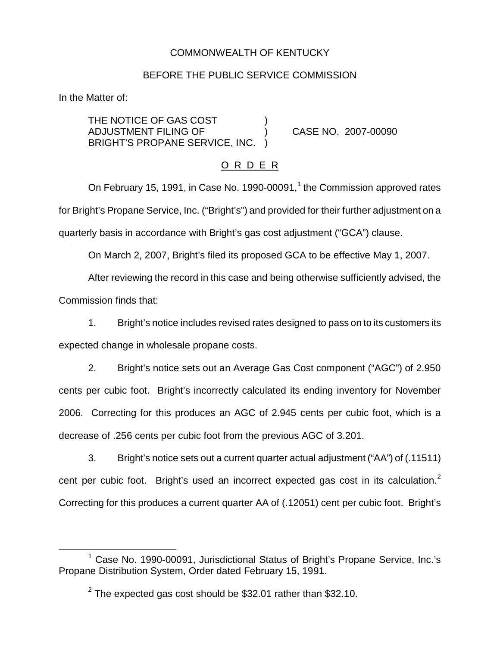## COMMONWEALTH OF KENTUCKY

### BEFORE THE PUBLIC SERVICE COMMISSION

In the Matter of:

THE NOTICE OF GAS COST ADJUSTMENT FILING OF ) CASE NO. 2007-00090 BRIGHT'S PROPANE SERVICE, INC. )

## O R D E R

On February 15, 1991, in Case No. 1990-00091, $<sup>1</sup>$  the Commission approved rates</sup> for Bright's Propane Service, Inc. ("Bright's") and provided for their further adjustment on a quarterly basis in accordance with Bright's gas cost adjustment ("GCA") clause.

On March 2, 2007, Bright's filed its proposed GCA to be effective May 1, 2007.

After reviewing the record in this case and being otherwise sufficiently advised, the Commission finds that:

1. Bright's notice includes revised rates designed to pass on to its customers its expected change in wholesale propane costs.

2. Bright's notice sets out an Average Gas Cost component ("AGC") of 2.950 cents per cubic foot. Bright's incorrectly calculated its ending inventory for November 2006. Correcting for this produces an AGC of 2.945 cents per cubic foot, which is a decrease of .256 cents per cubic foot from the previous AGC of 3.201.

3. Bright's notice sets out a current quarter actual adjustment ("AA") of (.11511) cent per cubic foot. Bright's used an incorrect expected gas cost in its calculation.<sup>2</sup> Correcting for this produces a current quarter AA of (.12051) cent per cubic foot. Bright's

<sup>&</sup>lt;sup>1</sup> Case No. 1990-00091, Jurisdictional Status of Bright's Propane Service, Inc.'s Propane Distribution System, Order dated February 15, 1991.

 $2$  The expected gas cost should be \$32.01 rather than \$32.10.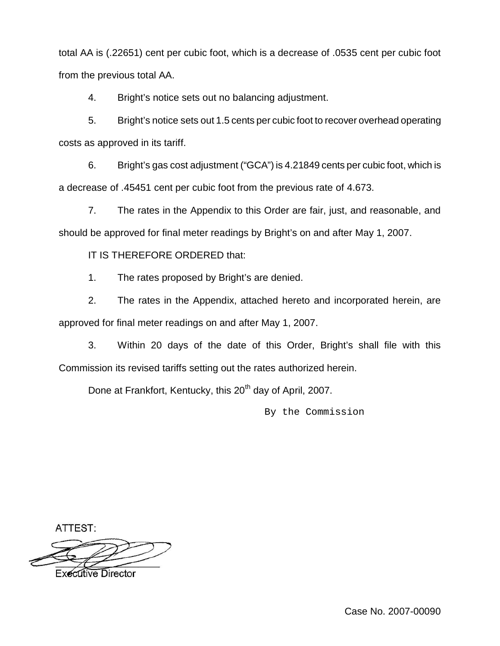total AA is (.22651) cent per cubic foot, which is a decrease of .0535 cent per cubic foot from the previous total AA.

4. Bright's notice sets out no balancing adjustment.

5. Bright's notice sets out 1.5 cents per cubic foot to recover overhead operating costs as approved in its tariff.

6. Bright's gas cost adjustment ("GCA") is 4.21849 cents per cubic foot, which is a decrease of .45451 cent per cubic foot from the previous rate of 4.673.

7. The rates in the Appendix to this Order are fair, just, and reasonable, and should be approved for final meter readings by Bright's on and after May 1, 2007.

IT IS THEREFORE ORDERED that:

1. The rates proposed by Bright's are denied.

2. The rates in the Appendix, attached hereto and incorporated herein, are approved for final meter readings on and after May 1, 2007.

3. Within 20 days of the date of this Order, Bright's shall file with this Commission its revised tariffs setting out the rates authorized herein.

Done at Frankfort, Kentucky, this 20<sup>th</sup> day of April, 2007.

By the Commission

ATTEST:



**Executive Director**